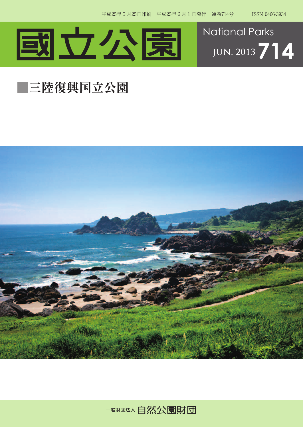



## **■三陸復興国立公園**